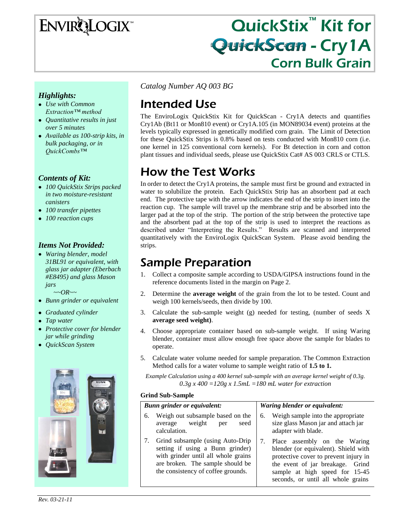# **ENVIRQLOGIX**

# QuickStix<sup>™</sup> Kit for **QuickScan - Cry1A** Corn Bulk Grain

### *Highlights:*

- *Use with Common Extraction™ method*
- *Quantitative results in just over 5 minutes*
- *Available as 100-strip kits, in bulk packaging, or in QuickCombs™*

### *Contents of Kit:*

- *100 QuickStix Strips packed in two moisture-resistant canisters*
- *100 transfer pipettes*
- *100 reaction cups*

### *Items Not Provided:*

*Waring blender, model 31BL91 or equivalent, with glass jar adapter (Eberbach #E8495) and glass Mason jars*

 *~~OR~~*

- *Bunn grinder or equivalent*
- *Graduated cylinder*
- *Tap water*
- *Protective cover for blender jar while grinding*
- *QuickScan System*



*Catalog Number AQ 003 BG*

# Intended Use

The EnviroLogix QuickStix Kit for QuickScan - Cry1A detects and quantifies Cry1Ab (Bt11 or Mon810 event) or Cry1A.105 (in MON89034 event) proteins at the levels typically expressed in genetically modified corn grain. The Limit of Detection for these QuickStix Strips is 0.8% based on tests conducted with Mon810 corn (i.e. one kernel in 125 conventional corn kernels). For Bt detection in corn and cotton plant tissues and individual seeds, please use QuickStix Cat# AS 003 CRLS or CTLS.

# How the Test Works

In order to detect the Cry1A proteins, the sample must first be ground and extracted in water to solubilize the protein. Each QuickStix Strip has an absorbent pad at each end. The protective tape with the arrow indicates the end of the strip to insert into the reaction cup. The sample will travel up the membrane strip and be absorbed into the larger pad at the top of the strip. The portion of the strip between the protective tape and the absorbent pad at the top of the strip is used to interpret the reactions as described under "Interpreting the Results." Results are scanned and interpreted quantitatively with the EnviroLogix QuickScan System. Please avoid bending the strips.

## Sample Preparation

- 1. Collect a composite sample according to USDA/GIPSA instructions found in the reference documents listed in the margin on Page 2.
- 2. Determine the **average weight** of the grain from the lot to be tested. Count and weigh 100 kernels/seeds, then divide by 100.
- 3. Calculate the sub-sample weight (g) needed for testing, (number of seeds X **average seed weight)**.
- 4. Choose appropriate container based on sub-sample weight. If using Waring blender, container must allow enough free space above the sample for blades to operate.
- 5. Calculate water volume needed for sample preparation. The Common Extraction Method calls for a water volume to sample weight ratio of **1.5 to 1.**

*Example Calculation using a 400 kernel sub-sample with an average kernel weight of 0.3g. 0.3g x 400 =120g x 1.5mL =180 mL water for extraction*

#### **Grind Sub-Sample**

| <b>Bunn grinder or equivalent:</b>                                                                                                                                                    | Waring blender or equivalent:                                                                                                                                                                                                      |
|---------------------------------------------------------------------------------------------------------------------------------------------------------------------------------------|------------------------------------------------------------------------------------------------------------------------------------------------------------------------------------------------------------------------------------|
| Weigh out subsample based on the<br>6.<br>weight<br>seed<br>average<br>per<br>calculation.                                                                                            | Weigh sample into the appropriate<br>6.<br>size glass Mason jar and attach jar<br>adapter with blade.                                                                                                                              |
| Grind subsample (using Auto-Drip<br>setting if using a Bunn grinder)<br>with grinder until all whole grains<br>are broken. The sample should be<br>the consistency of coffee grounds. | 7.<br>Place assembly on the Waring<br>blender (or equivalent). Shield with<br>protective cover to prevent injury in<br>the event of jar breakage.<br>Grind<br>sample at high speed for 15-45<br>seconds, or until all whole grains |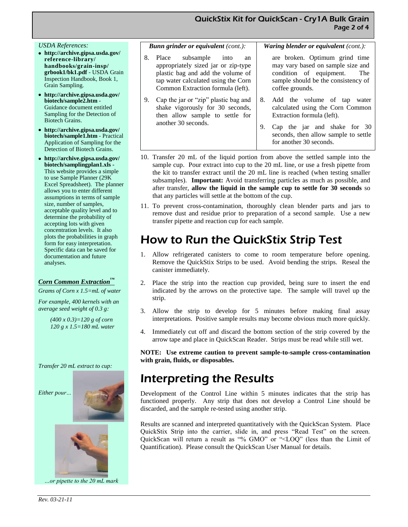#### *USDA References:*

- **http://archive.gipsa.usda.gov/ reference-library/ handbooks/grain-insp/ grbook1/bk1.pdf** - USDA Grain Inspection Handbook, Book 1, Grain Sampling.
- **http://archive.gipsa.usda.gov/ biotech/sample2.htm** - Guidance document entitled Sampling for the Detection of Biotech Grains.
- **http://archive.gipsa.usda.gov/ biotech/sample1.htm** - Practical Application of Sampling for the Detection of Biotech Grains.
- **http://archive.gipsa.usda.gov/ biotech/samplingplan1.xls -** This website provides a simple to use Sample Planner (29K Excel Spreadsheet). The planner allows you to enter different assumptions in terms of sample size, number of samples, acceptable quality level and to determine the probability of accepting lots with given concentration levels. It also plots the probabilities in graph form for easy interpretation. Specific data can be saved for documentation and future analyses.

#### *Corn Common Extraction™*

*Grams of Corn x 1.5=mL of water*

*For example, 400 kernels with an average seed weight of 0.3 g:*

> *(400 x 0.3)=120 g of corn 120 g x 1.5=180 mL water*

*Transfer 20 mL extract to cup:* 

*Either pour…*





*…or pipette to the 20 mL mark* 

|    | <b>Bunn grinder or equivalent (cont.):</b>                                                                                                                                         | <b>Waring blender or equivalent</b> (cont.):                                                                                                                                                                    |
|----|------------------------------------------------------------------------------------------------------------------------------------------------------------------------------------|-----------------------------------------------------------------------------------------------------------------------------------------------------------------------------------------------------------------|
| 8. | Place subsample into<br>an<br>appropriately sized jar or zip-type<br>plastic bag and add the volume of<br>tap water calculated using the Corn<br>Common Extraction formula (left). | are broken. Optimum grind time<br>may vary based on sample size and<br>condition of equipment.<br>The<br>sample should be the consistency of<br>coffee grounds.                                                 |
| 9. | Cap the jar or "zip" plastic bag and<br>shake vigorously for 30 seconds,<br>then allow sample to settle for<br>another 30 seconds.                                                 | Add the volume of tap<br>8.<br>water<br>calculated using the Corn Common<br>Extraction formula (left).<br>Cap the jar and shake for 30<br>9.<br>seconds, then allow sample to settle<br>for another 30 seconds. |

- 10. Transfer 20 mL of the liquid portion from above the settled sample into the sample cup. Pour extract into cup to the 20 mL line, or use a fresh pipette from the kit to transfer extract until the 20 mL line is reached (when testing smaller subsamples). **Important:** Avoid transferring particles as much as possible, and after transfer, **allow the liquid in the sample cup to settle for 30 seconds** so that any particles will settle at the bottom of the cup.
- 11. To prevent cross-contamination, thoroughly clean blender parts and jars to remove dust and residue prior to preparation of a second sample. Use a new transfer pipette and reaction cup for each sample.

## How to Run the QuickStix Strip Test

- 1. Allow refrigerated canisters to come to room temperature before opening. Remove the QuickStix Strips to be used. Avoid bending the strips. Reseal the canister immediately.
- 2. Place the strip into the reaction cup provided, being sure to insert the end indicated by the arrows on the protective tape. The sample will travel up the strip.
- 3. Allow the strip to develop for 5 minutes before making final assay interpretations. Positive sample results may become obvious much more quickly.
- 4. Immediately cut off and discard the bottom section of the strip covered by the arrow tape and place in QuickScan Reader. Strips must be read while still wet.

**NOTE: Use extreme caution to prevent sample-to-sample cross-contamination with grain, fluids, or disposables.**

## Interpreting the Results

Development of the Control Line within 5 minutes indicates that the strip has functioned properly. Any strip that does not develop a Control Line should be discarded, and the sample re-tested using another strip.

Results are scanned and interpreted quantitatively with the QuickScan System. Place QuickStix Strip into the carrier, slide in, and press "Read Test" on the screen. QuickScan will return a result as "% GMO" or "<LOQ" (less than the Limit of Quantification). Please consult the QuickScan User Manual for details.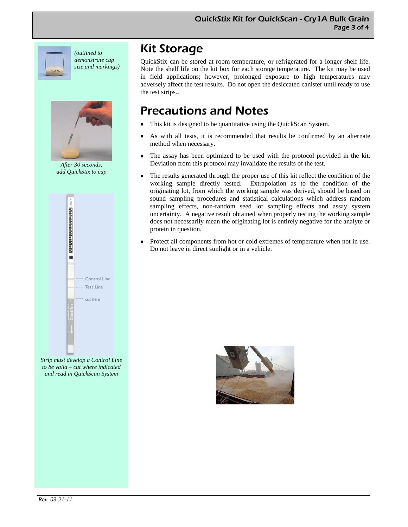

*(outlined to demonstrate cup size and markings)*



*After 30 seconds, add QuickStix to cup*



*Strip must develop a Control Line to be valid – cut where indicated and read in QuickScan System* 

### Kit Storage

QuickStix can be stored at room temperature, or refrigerated for a longer shelf life. Note the shelf life on the kit box for each storage temperature. The kit may be used in field applications; however, prolonged exposure to high temperatures may adversely affect the test results. Do not open the desiccated canister until ready to use the test strips.**.**

# Precautions and Notes

- This kit is designed to be quantitative using the QuickScan System.
- As with all tests, it is recommended that results be confirmed by an alternate method when necessary.
- The assay has been optimized to be used with the protocol provided in the kit. Deviation from this protocol may invalidate the results of the test.
- The results generated through the proper use of this kit reflect the condition of the working sample directly tested. Extrapolation as to the condition of the originating lot, from which the working sample was derived, should be based on sound sampling procedures and statistical calculations which address random sampling effects, non-random seed lot sampling effects and assay system uncertainty. A negative result obtained when properly testing the working sample does not necessarily mean the originating lot is entirely negative for the analyte or protein in question.
- Protect all components from hot or cold extremes of temperature when not in use. Do not leave in direct sunlight or in a vehicle.